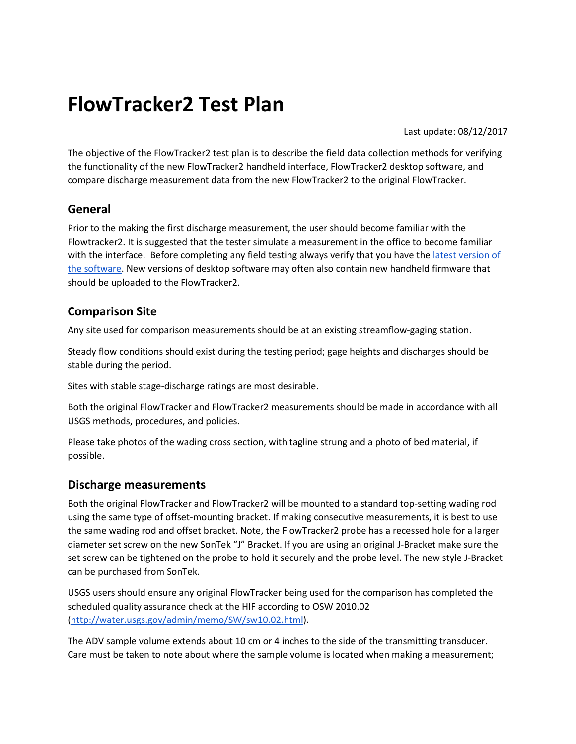# **FlowTracker2 Test Plan**

Last update: 08/12/2017

The objective of the FlowTracker2 test plan is to describe the field data collection methods for verifying the functionality of the new FlowTracker2 handheld interface, FlowTracker2 desktop software, and compare discharge measurement data from the new FlowTracker2 to the original FlowTracker.

# **General**

Prior to the making the first discharge measurement, the user should become familiar with the Flowtracker2. It is suggested that the tester simulate a measurement in the office to become familiar with the interface. Before completing any field testing always verify that you have the [latest version of](https://hydroacoustics.usgs.gov/midsection/flowtracker2.shtml)  [the software.](https://hydroacoustics.usgs.gov/midsection/flowtracker2.shtml) New versions of desktop software may often also contain new handheld firmware that should be uploaded to the FlowTracker2.

# **Comparison Site**

Any site used for comparison measurements should be at an existing streamflow-gaging station.

Steady flow conditions should exist during the testing period; gage heights and discharges should be stable during the period.

Sites with stable stage-discharge ratings are most desirable.

Both the original FlowTracker and FlowTracker2 measurements should be made in accordance with all USGS methods, procedures, and policies.

Please take photos of the wading cross section, with tagline strung and a photo of bed material, if possible.

# **Discharge measurements**

Both the original FlowTracker and FlowTracker2 will be mounted to a standard top-setting wading rod using the same type of offset-mounting bracket. If making consecutive measurements, it is best to use the same wading rod and offset bracket. Note, the FlowTracker2 probe has a recessed hole for a larger diameter set screw on the new SonTek "J" Bracket. If you are using an original J-Bracket make sure the set screw can be tightened on the probe to hold it securely and the probe level. The new style J-Bracket can be purchased from SonTek.

USGS users should ensure any original FlowTracker being used for the comparison has completed the scheduled quality assurance check at the HIF according to OSW 2010.02 [\(http://water.usgs.gov/admin/memo/SW/sw10.02.html\)](http://water.usgs.gov/admin/memo/SW/sw10.02.html).

The ADV sample volume extends about 10 cm or 4 inches to the side of the transmitting transducer. Care must be taken to note about where the sample volume is located when making a measurement;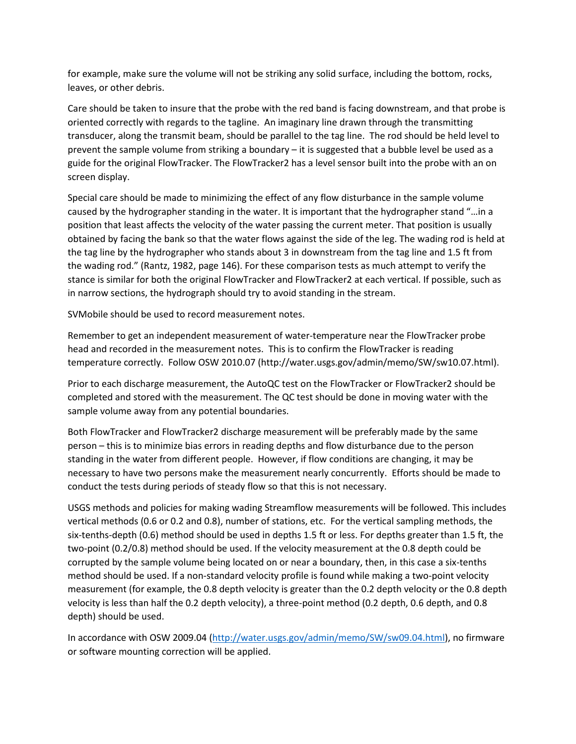for example, make sure the volume will not be striking any solid surface, including the bottom, rocks, leaves, or other debris.

Care should be taken to insure that the probe with the red band is facing downstream, and that probe is oriented correctly with regards to the tagline. An imaginary line drawn through the transmitting transducer, along the transmit beam, should be parallel to the tag line. The rod should be held level to prevent the sample volume from striking a boundary – it is suggested that a bubble level be used as a guide for the original FlowTracker. The FlowTracker2 has a level sensor built into the probe with an on screen display.

Special care should be made to minimizing the effect of any flow disturbance in the sample volume caused by the hydrographer standing in the water. It is important that the hydrographer stand "…in a position that least affects the velocity of the water passing the current meter. That position is usually obtained by facing the bank so that the water flows against the side of the leg. The wading rod is held at the tag line by the hydrographer who stands about 3 in downstream from the tag line and 1.5 ft from the wading rod." (Rantz, 1982, page 146). For these comparison tests as much attempt to verify the stance is similar for both the original FlowTracker and FlowTracker2 at each vertical. If possible, such as in narrow sections, the hydrograph should try to avoid standing in the stream.

SVMobile should be used to record measurement notes.

Remember to get an independent measurement of water-temperature near the FlowTracker probe head and recorded in the measurement notes. This is to confirm the FlowTracker is reading temperature correctly. Follow OSW 2010.07 (http://water.usgs.gov/admin/memo/SW/sw10.07.html).

Prior to each discharge measurement, the AutoQC test on the FlowTracker or FlowTracker2 should be completed and stored with the measurement. The QC test should be done in moving water with the sample volume away from any potential boundaries.

Both FlowTracker and FlowTracker2 discharge measurement will be preferably made by the same person – this is to minimize bias errors in reading depths and flow disturbance due to the person standing in the water from different people. However, if flow conditions are changing, it may be necessary to have two persons make the measurement nearly concurrently. Efforts should be made to conduct the tests during periods of steady flow so that this is not necessary.

USGS methods and policies for making wading Streamflow measurements will be followed. This includes vertical methods (0.6 or 0.2 and 0.8), number of stations, etc. For the vertical sampling methods, the six-tenths-depth (0.6) method should be used in depths 1.5 ft or less. For depths greater than 1.5 ft, the two-point (0.2/0.8) method should be used. If the velocity measurement at the 0.8 depth could be corrupted by the sample volume being located on or near a boundary, then, in this case a six-tenths method should be used. If a non-standard velocity profile is found while making a two-point velocity measurement (for example, the 0.8 depth velocity is greater than the 0.2 depth velocity or the 0.8 depth velocity is less than half the 0.2 depth velocity), a three-point method (0.2 depth, 0.6 depth, and 0.8 depth) should be used.

In accordance with OSW 2009.04 [\(http://water.usgs.gov/admin/memo/SW/sw09.04.html\)](http://water.usgs.gov/admin/memo/SW/sw09.04.html), no firmware or software mounting correction will be applied.